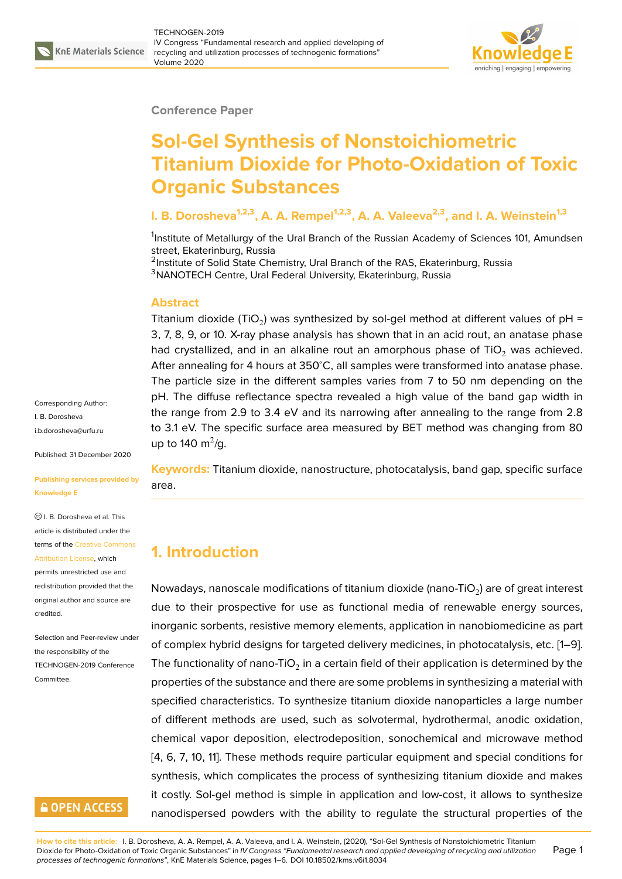

#### **Conference Paper**

# **Sol-Gel Synthesis of Nonstoichiometric Titanium Dioxide for Photo-Oxidation of Toxic Organic Substances**

#### **I. B. Dorosheva1,2,3, A. A. Rempel1,2,3, A. A. Valeeva2,3, and I. A. Weinstein1,3**

<sup>1</sup>Institute of Metallurgy of the Ural Branch of the Russian Academy of Sciences 101, Amundsen street, Ekaterinburg, Russia

<sup>2</sup>Institute of Solid State Chemistry, Ural Branch of the RAS, Ekaterinburg, Russia <sup>3</sup>NANOTECH Centre, Ural Federal University, Ekaterinburg, Russia

#### **Abstract**

Titanium dioxide (TiO<sub>2</sub>) was synthesized by sol-gel method at different values of pH = 3, 7, 8, 9, or 10. X-ray phase analysis has shown that in an acid rout, an anatase phase had crystallized, and in an alkaline rout an amorphous phase of  $TiO<sub>2</sub>$  was achieved. After annealing for 4 hours at 350<sup>∘</sup>C, all samples were transformed into anatase phase. The particle size in the different samples varies from 7 to 50 nm depending on the pH. The diffuse reflectance spectra revealed a high value of the band gap width in the range from 2.9 to 3.4 eV and its narrowing after annealing to the range from 2.8 to 3.1 eV. The specific surface area measured by BET method was changing from 80 up to 140 m<sup>2</sup>/g.

**Keywords:** Titanium dioxide, nanostructure, photocatalysis, band gap, specific surface area.

# **1. Introduction**

Nowadays, nanoscale modifications of titanium dioxide (nano-TiO $_2$ ) are of great interest due to their prospective for use as functional media of renewable energy sources, inorganic sorbents, resistive memory elements, application in nanobiomedicine as part of complex hybrid designs for targeted delivery medicines, in photocatalysis, etc. [1–9]. The functionality of nano-TiO $_2$  in a certain field of their application is determined by the properties of the substance and there are some problems in synthesizing a material with specified characteristics. To synthesize titanium dioxide nanoparticles a large nu[m](#page-4-0)[be](#page-5-0)r of different methods are used, such as solvotermal, hydrothermal, anodic oxidation, chemical vapor deposition, electrodeposition, sonochemical and microwave method [4, 6, 7, 10, 11]. These methods require particular equipment and special conditions for synthesis, which complicates the process of synthesizing titanium dioxide and makes it costly. Sol-gel method is simple in application and low-cost, it allows to synthesize [na](#page-5-1)[no](#page-5-2)[dis](#page-5-3)[pe](#page-5-4)r[se](#page-5-5)d powders with the ability to regulate the structural properties of the

Corresponding Author: I. B. Dorosheva

i.b.dorosheva@urfu.ru

Published: 31 December 2020

#### **[Publishing services p](mailto:i.b.dorosheva@urfu.ru)rovided by Knowledge E**

I. B. Dorosheva et al. This article is distributed under the terms of the Creative Commons Attribution License, which

permits unrestricted use and redistribution provided that the original auth[or and source are](https://creativecommons.org/licenses/by/4.0/) [credited.](https://creativecommons.org/licenses/by/4.0/)

Selection and Peer-review under the responsibility of the TECHNOGEN-2019 Conference Committee.

## **GOPEN ACCESS**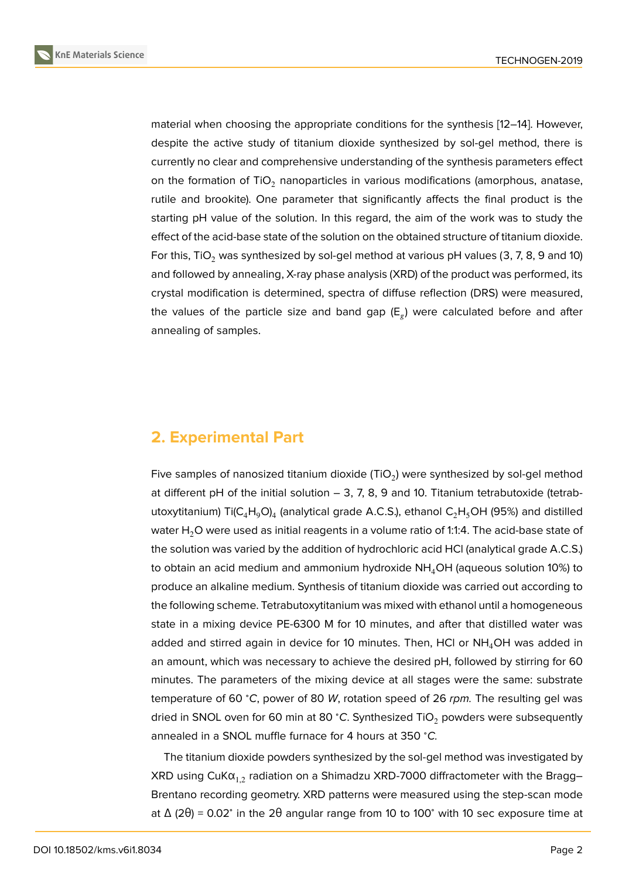material when choosing the appropriate conditions for the synthesis [12–14]. However, despite the active study of titanium dioxide synthesized by sol-gel method, there is currently no clear and comprehensive understanding of the synthesis parameters effect on the formation of TiO<sub>2</sub> nanoparticles in various modifications (amo[rph](#page-5-6)[ou](#page-5-7)s, anatase, rutile and brookite). One parameter that significantly affects the final product is the starting pH value of the solution. In this regard, the aim of the work was to study the effect of the acid-base state of the solution on the obtained structure of titanium dioxide. For this, TiO<sub>2</sub> was synthesized by sol-gel method at various pH values (3, 7, 8, 9 and 10) and followed by annealing, X-ray phase analysis (XRD) of the product was performed, its crystal modification is determined, spectra of diffuse reflection (DRS) were measured, the values of the particle size and band gap ( $\mathsf{E}_g$ ) were calculated before and after annealing of samples.

## **2. Experimental Part**

Five samples of nanosized titanium dioxide (TiO<sub>2</sub>) were synthesized by sol-gel method at different pH of the initial solution  $-$  3, 7, 8, 9 and 10. Titanium tetrabutoxide (tetrabutoxytitanium) Ti(C<sub>4</sub>H<sub>9</sub>O)<sub>4</sub> (analytical grade A.C.S.), ethanol C<sub>2</sub>H<sub>5</sub>OH (95%) and distilled water  $H_2O$  were used as initial reagents in a volume ratio of 1:1:4. The acid-base state of the solution was varied by the addition of hydrochloric acid HCl (analytical grade A.C.S.) to obtain an acid medium and ammonium hydroxide  $NH<sub>4</sub>OH$  (aqueous solution 10%) to produce an alkaline medium. Synthesis of titanium dioxide was carried out according to the following scheme. Tetrabutoxytitanium was mixed with ethanol until a homogeneous state in a mixing device PE-6300 M for 10 minutes, and after that distilled water was added and stirred again in device for 10 minutes. Then, HCI or  $NH<sub>4</sub>OH$  was added in an amount, which was necessary to achieve the desired pH, followed by stirring for 60 minutes. The parameters of the mixing device at all stages were the same: substrate temperature of 60 <sup>∘</sup>*C*, power of 80 *W*, rotation speed of 26 *rpm.* The resulting gel was dried in SNOL oven for 60 min at 80 °C. Synthesized TiO<sub>2</sub> powders were subsequently annealed in a SNOL muffle furnace for 4 hours at 350 <sup>∘</sup>*C.*

The titanium dioxide powders synthesized by the sol-gel method was investigated by XRD using CuK $\alpha_{1,2}$  radiation on a Shimadzu XRD-7000 diffractometer with the Bragg– Brentano recording geometry. XRD patterns were measured using the step-scan mode at Δ (2θ) = 0.02° in the 2θ angular range from 10 to 100° with 10 sec exposure time at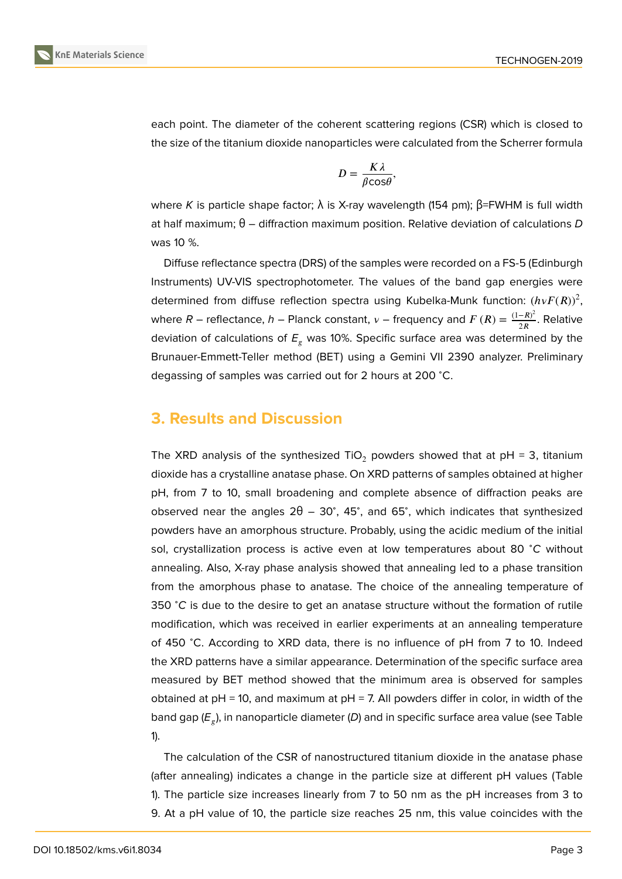

each point. The diameter of the coherent scattering regions (CSR) which is closed to the size of the titanium dioxide nanoparticles were calculated from the Scherrer formula

$$
D=\frac{K\lambda}{\beta\mathrm{cos}\theta},
$$

where *K* is particle shape factor; λ is X-ray wavelength (154 pm); β=FWHM is full width at half maximum; θ – diffraction maximum position. Relative deviation of calculations *D* was 10 %.

Diffuse reflectance spectra (DRS) of the samples were recorded on a FS-5 (Edinburgh Instruments) UV-VIS spectrophotometer. The values of the band gap energies were determined from diffuse reflection spectra using Kubelka-Munk function:  $(h\nu F(R))^2$ , where  $R$  – reflectance,  $h$  – Planck constant,  $v$  – frequency and  $F\left(R\right)=\frac{\left(1-R\right)^{2}}{2R}.$  Relative deviation of calculations of  $E<sub>r</sub>$  was 10%. Specific surface area was determined by the Brunauer-Emmett-Teller method (BET) using a Gemini VII 2390 analyzer. Preliminary degassing of samples was carried out for 2 hours at 200 <sup>∘</sup>C.

## **3. Results and Discussion**

The XRD analysis of the synthesized TiO<sub>2</sub> powders showed that at  $pH = 3$ , titanium dioxide has a crystalline anatase phase. On XRD patterns of samples obtained at higher pH, from 7 to 10, small broadening and complete absence of diffraction peaks are observed near the angles  $2\theta - 30^\circ$ , 45°, and 65°, which indicates that synthesized powders have an amorphous structure. Probably, using the acidic medium of the initial sol, crystallization process is active even at low temperatures about 80 <sup>∘</sup>*C* without annealing. Also, X-ray phase analysis showed that annealing led to a phase transition from the amorphous phase to anatase. The choice of the annealing temperature of 350 <sup>∘</sup>*C* is due to the desire to get an anatase structure without the formation of rutile modification, which was received in earlier experiments at an annealing temperature of 450 <sup>∘</sup>C. According to XRD data, there is no influence of pH from 7 to 10. Indeed the XRD patterns have a similar appearance. Determination of the specific surface area measured by BET method showed that the minimum area is observed for samples obtained at  $pH = 10$ , and maximum at  $pH = 7$ . All powders differ in color, in width of the band gap (*E* ), in nanoparticle diameter (*D*) and in specific surface area value (see Table 1).

The calculation of the CSR of nanostructured titanium dioxide in the anatase phase (after annealing) indicates a change in the particle size at different pH values (Table 1). The particle size increases linearly from 7 to 50 nm as the pH increases from 3 to 9. At a pH value of 10, the particle size reaches 25 nm, this value coincides with the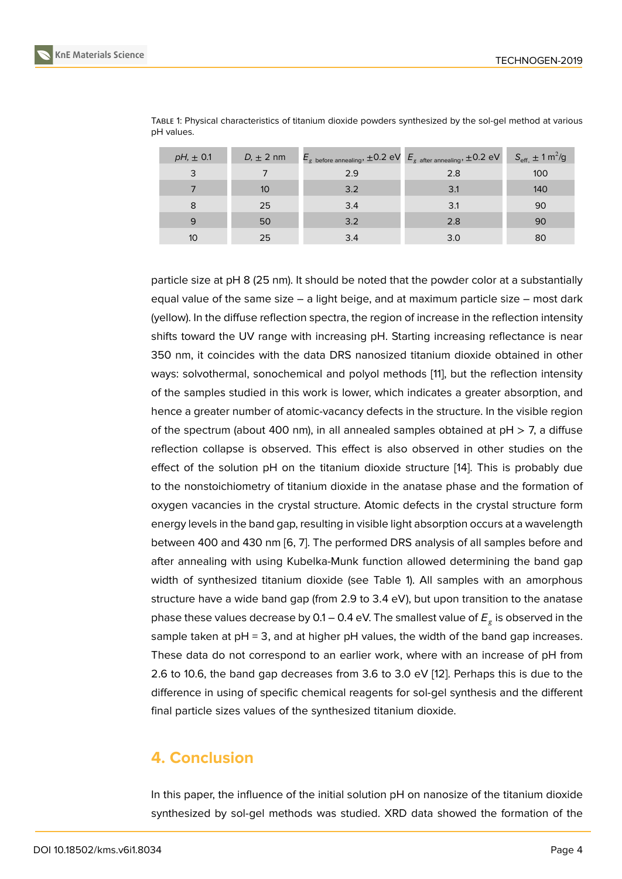| $pH_1 \pm 0.1$ | $D_1 \pm 2$ nm | $E_{g}$ before annealing, $\pm 0.2$ eV $E_{g}$ after annealing, $\pm 0.2$ eV |     | $S_{\text{eff,}} \pm 1 \text{ m}^2/\text{g}$ |
|----------------|----------------|------------------------------------------------------------------------------|-----|----------------------------------------------|
| 3              |                | 2.9                                                                          | 2.8 | 100                                          |
|                | 10             | 3.2                                                                          | 3.1 | 140                                          |
| 8              | 25             | 3.4                                                                          | 3.1 | 90                                           |
| 9              | 50             | 3.2                                                                          | 2.8 | 90                                           |
| 10             | 25             | 3.4                                                                          | 3.0 | 80                                           |

TABLE 1: Physical characteristics of titanium dioxide powders synthesized by the sol-gel method at various pH values.

particle size at pH 8 (25 nm). It should be noted that the powder color at a substantially equal value of the same size – a light beige, and at maximum particle size – most dark (yellow). In the diffuse reflection spectra, the region of increase in the reflection intensity shifts toward the UV range with increasing pH. Starting increasing reflectance is near 350 nm, it coincides with the data DRS nanosized titanium dioxide obtained in other ways: solvothermal, sonochemical and polyol methods [11], but the reflection intensity of the samples studied in this work is lower, which indicates a greater absorption, and hence a greater number of atomic-vacancy defects in the structure. In the visible region of the spectrum (about 400 nm), in all annealed sample[s o](#page-5-5)btained at  $pH > 7$ , a diffuse reflection collapse is observed. This effect is also observed in other studies on the effect of the solution pH on the titanium dioxide structure [14]. This is probably due to the nonstoichiometry of titanium dioxide in the anatase phase and the formation of oxygen vacancies in the crystal structure. Atomic defects in the crystal structure form energy levels in the band gap, resulting in visible light absorpti[on](#page-5-7) occurs at a wavelength between 400 and 430 nm [6, 7]. The performed DRS analysis of all samples before and after annealing with using Kubelka-Munk function allowed determining the band gap width of synthesized titanium dioxide (see Table 1). All samples with an amorphous structure have a wide ban[d g](#page-5-2)[ap](#page-5-3) (from 2.9 to 3.4 eV), but upon transition to the anatase phase these values decrease by 0.1 – 0.4 eV. The smallest value of *E* is observed in the sample taken at  $pH = 3$ , and at higher  $pH$  values, the width of the band gap increases. These data do not correspond to an earlier work, where with an increase of pH from 2.6 to 10.6, the band gap decreases from 3.6 to 3.0 eV [12]. Perhaps this is due to the difference in using of specific chemical reagents for sol-gel synthesis and the different final particle sizes values of the synthesized titanium dioxide.

# **4. Conclusion**

In this paper, the influence of the initial solution pH on nanosize of the titanium dioxide synthesized by sol-gel methods was studied. XRD data showed the formation of the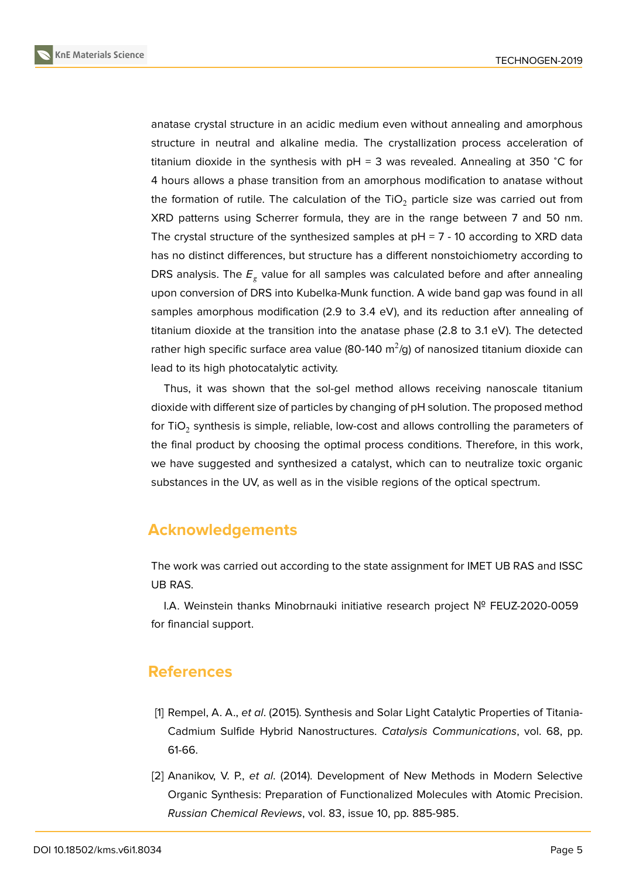

anatase crystal structure in an acidic medium even without annealing and amorphous structure in neutral and alkaline media. The crystallization process acceleration of titanium dioxide in the synthesis with pH = 3 was revealed. Annealing at 350 <sup>∘</sup>C for 4 hours allows a phase transition from an amorphous modification to anatase without the formation of rutile. The calculation of the TiO<sub>2</sub> particle size was carried out from XRD patterns using Scherrer formula, they are in the range between 7 and 50 nm. The crystal structure of the synthesized samples at  $pH = 7 - 10$  according to XRD data has no distinct differences, but structure has a different nonstoichiometry according to DRS analysis. The  $E_{\textit{g}}$  value for all samples was calculated before and after annealing upon conversion of DRS into Kubelka-Munk function. A wide band gap was found in all samples amorphous modification (2.9 to 3.4 eV), and its reduction after annealing of titanium dioxide at the transition into the anatase phase (2.8 to 3.1 eV). The detected rather high specific surface area value (80-140 m $^2$ /g) of nanosized titanium dioxide can lead to its high photocatalytic activity.

Thus, it was shown that the sol-gel method allows receiving nanoscale titanium dioxide with different size of particles by changing of pH solution. The proposed method for TiO $_2$  synthesis is simple, reliable, low-cost and allows controlling the parameters of the final product by choosing the optimal process conditions. Therefore, in this work, we have suggested and synthesized a catalyst, which can to neutralize toxic organic substances in the UV, as well as in the visible regions of the optical spectrum.

### **Acknowledgements**

The work was carried out according to the state assignment for IMET UB RAS and ISSC UB RAS.

I.A. Weinstein thanks Minobrnauki initiative research project № FEUZ-2020-0059 for financial support.

#### **References**

- <span id="page-4-0"></span>[1] Rempel, A. A., *et al*. (2015). Synthesis and Solar Light Catalytic Properties of Titania-Cadmium Sulfide Hybrid Nanostructures. *Catalysis Communications*, vol. 68, pp. 61-66.
- [2] Ananikov, V. P., *et al*. (2014). Development of New Methods in Modern Selective Organic Synthesis: Preparation of Functionalized Molecules with Atomic Precision. *Russian Chemical Reviews*, vol. 83, issue 10, pp. 885-985.